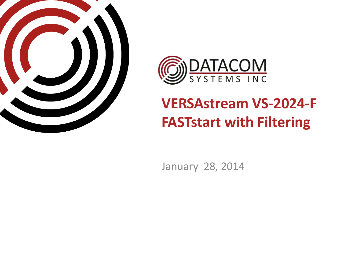



## **VERSAstream VS-2024-F FASTstart with Filtering**

January 28, 2014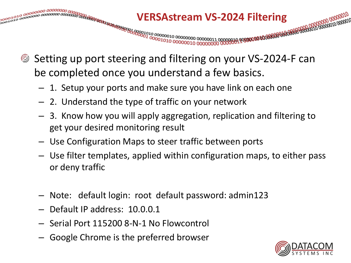

- Setting up port steering and filtering on your VS-2024-F can be completed once you understand a few basics.
	- 1. Setup your ports and make sure you have link on each one
	- 2. Understand the type of traffic on your network
	- 3. Know how you will apply aggregation, replication and filtering to get your desired monitoring result
	- Use Configuration Maps to steer traffic between ports
	- Use filter templates, applied within configuration maps, to either pass or deny traffic
	- Note: default login: root default password: admin123
	- Default IP address: 10.0.0.1
	- Serial Port 115200 8-N-1 No Flowcontrol
	- Google Chrome is the preferred browser

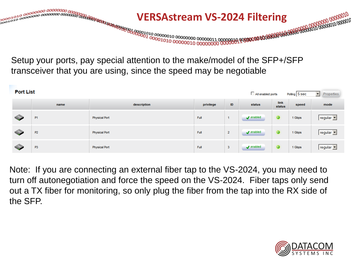

Setup your ports, pay special attention to the make/model of the SFP+/SFP transceiver that you are using, since the speed may be negotiable

| <b>Port List</b><br>All enabled ports<br>ᅬ<br>Polling 5 sec |                |                      |           |                |                              |                |        |                           |  |
|-------------------------------------------------------------|----------------|----------------------|-----------|----------------|------------------------------|----------------|--------|---------------------------|--|
|                                                             | name           | description          | privilege | ID             | status                       | link<br>status | speed  | mode                      |  |
|                                                             | P <sub>1</sub> | <b>Physical Port</b> | Full      |                | $\sqrt{\phantom{a}}$ enabled |                | 1 Gbps | regular $\Box$            |  |
| $\bullet$                                                   | <b>P2</b>      | <b>Physical Port</b> | Full      | $\overline{2}$ | $\sqrt{\phantom{a}}$ enabled |                | 1 Gbps | $regular \nightharpoonup$ |  |
| <b>Contractor</b>                                           | P <sub>3</sub> | <b>Physical Port</b> | Full      | 3              | $\sqrt{\phantom{a}}$ enabled |                | 1 Gbps | Tregular V                |  |

Note: If you are connecting an external fiber tap to the VS-2024, you may need to turn off autonegotiation and force the speed on the VS-2024. Fiber taps only send out a TX fiber for monitoring, so only plug the fiber from the tap into the RX side of the SFP.

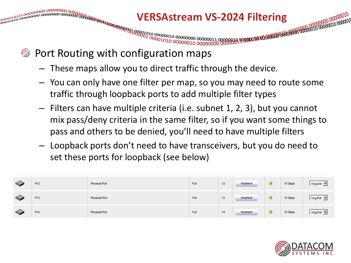

- Port Routing with configuration maps
	- These maps allow you to direct traffic through the device.
	- You can only have one filter per map, so you may need to route some traffic through loopback ports to add multiple filter types
	- Filters can have multiple criteria (i.e. subnet 1, 2, 3), but you cannot mix pass/deny criteria in the same filter, so if you want some things to pass and others to be denied, you'll need to have multiple filters
	- Loopback ports don't need to have transceivers, but you do need to set these ports for loopback (see below)

| $\bigcirc$        | P <sub>12</sub> | <b>Physical Port</b> | Full | 12 | loopback | 10 Gbps | regular   |
|-------------------|-----------------|----------------------|------|----|----------|---------|-----------|
| $\triangle$       | P <sub>13</sub> | <b>Physical Port</b> | Full | 13 | loopback | 10 Gbps | regular   |
| $\Leftrightarrow$ | P <sub>14</sub> | <b>Physical Port</b> | Full | 14 | loopback | 10 Gbps | regular • |

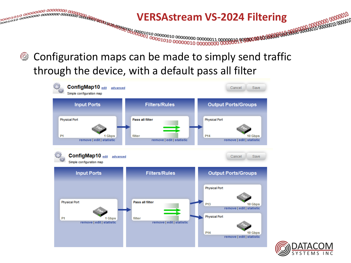

Configuration maps can be made to simply send traffic through the device, with a default pass all filter



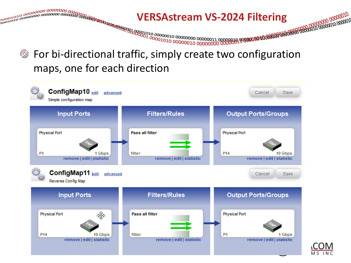

## For bi-directional traffic, simply create two configuration maps, one for each direction

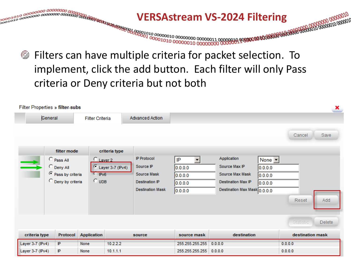

Filters can have multiple criteria for packet selection. To implement, click the add button. Each filter will only Pass criteria or Deny criteria but not both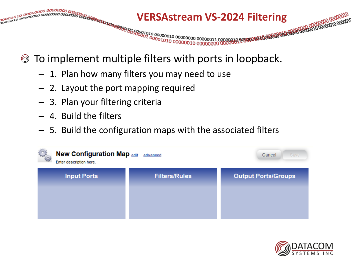

- To implement multiple filters with ports in loopback.
	- 1. Plan how many filters you may need to use
	- 2. Layout the port mapping required
	- 3. Plan your filtering criteria
	- 4. Build the filters
	- 5. Build the configuration maps with the associated filters



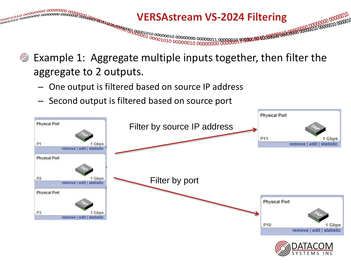

- Example 1: Aggregate multiple inputs together, then filter the  $\circledS$ aggregate to 2 outputs.
	- One output is filtered based on source IP address
	- Second output is filtered based on source port

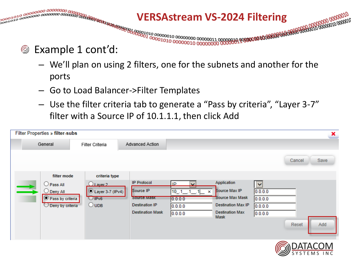

#### Example 1 cont'd:  $\circledS$

- We'll plan on using 2 filters, one for the subnets and another for the ports
- Go to Load Balancer->Filter Templates
- Use the filter criteria tab to generate a "Pass by criteria", "Layer 3-7" filter with a Source IP of 10.1.1.1, then click Add

| <b>Filter Properties » filter-subs</b>                                                                               |                                                                                      |                                                                                                    |                                                               |                                                                                                        |                                                       |        | ×    |
|----------------------------------------------------------------------------------------------------------------------|--------------------------------------------------------------------------------------|----------------------------------------------------------------------------------------------------|---------------------------------------------------------------|--------------------------------------------------------------------------------------------------------|-------------------------------------------------------|--------|------|
| General                                                                                                              | Filter Criteria                                                                      | Advanced Action                                                                                    |                                                               |                                                                                                        |                                                       |        |      |
|                                                                                                                      |                                                                                      |                                                                                                    |                                                               |                                                                                                        |                                                       | Cancel | Save |
| filter mode<br>$\bigcirc$ Pass All<br>$\bigcirc$ Deny All<br>$\odot$ Pass by criteria<br>$\bigcirc$ Deny by criteria | criteria type<br>$Q$ Laver 2<br><b>O</b> Layer 3-7 (IPv4)<br>UIPv6<br>$\bigcirc$ UDB | <b>IP Protocol</b><br>Source IP<br>Source Mask<br><b>Destination IP</b><br><b>Destination Mask</b> | IP<br>◡<br>$10 - 1 - 1 - 1$<br>$\times$<br>0.0.0.0<br>0.0.0.0 | Application<br>Source Max IP<br>Source Max Mask<br><b>Destination Max IP</b><br><b>Destination Max</b> | $\blacktriangledown$<br>0.0.0.0<br>0.0.0.0<br>0.0.0.0 |        |      |
|                                                                                                                      |                                                                                      |                                                                                                    | 0.0.0.0                                                       | <b>Mask</b>                                                                                            | 0.0.0.0                                               | Reset  | Add  |

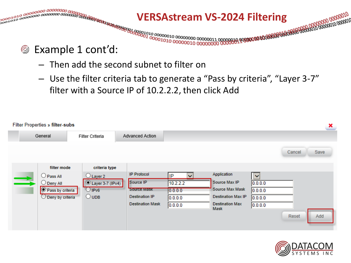

- Then add the second subnet to filter on
- Use the filter criteria tab to generate a "Pass by criteria", "Layer 3-7" filter with a Source IP of 10.2.2.2, then click Add

|        | <b>Filter Properties » filter-subs</b><br>×                                                                                 |                                                                                              |                                                                                                    |                                                                 |                                                                                                                |                                                                  |        |      |  |  |  |
|--------|-----------------------------------------------------------------------------------------------------------------------------|----------------------------------------------------------------------------------------------|----------------------------------------------------------------------------------------------------|-----------------------------------------------------------------|----------------------------------------------------------------------------------------------------------------|------------------------------------------------------------------|--------|------|--|--|--|
|        | General                                                                                                                     | Filter Criteria                                                                              | Advanced Action                                                                                    |                                                                 |                                                                                                                |                                                                  |        |      |  |  |  |
|        |                                                                                                                             |                                                                                              |                                                                                                    |                                                                 |                                                                                                                |                                                                  | Cancel | Save |  |  |  |
| $\sim$ | filter mode<br>$\bigcirc$ Pass All<br>$\bigcirc$ Deny All<br>$\circledcirc$ Pass by criteria<br>$\bigcirc$ Deny by criteria | criteria type<br>$\bigcirc$ Layer 2<br>Layer 3-7 (IPv4)<br>$\bigcirc$ IPv6<br>$\bigcirc$ UDB | <b>IP Protocol</b><br>Source IP<br>Source Mask<br><b>Destination IP</b><br><b>Destination Mask</b> | IP<br>$\checkmark$<br>10.2.2.2<br>0.0.0.0<br>0.0.0.0<br>0.0.0.0 | Application<br>Source Max IP<br>Source Max Mask<br><b>Destination Max IP</b><br><b>Destination Max</b><br>Mask | $\ddot{\phantom{1}}$<br>0.0.0.0<br>0.0.0.0<br>0.0.0.0<br>0.0.0.0 | Reset  | Add  |  |  |  |

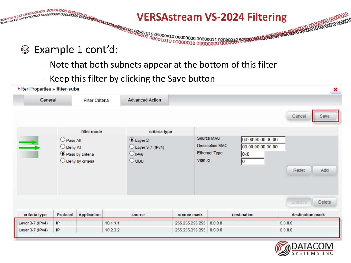

- Note that both subnets appear at the bottom of this filter
- Keep this filter by clicking the Save button

| Filter Properties » filter-subs |                                                                                        |                    |                                                                                   |               |                                                                                                                                |         |              |                  | ×             |
|---------------------------------|----------------------------------------------------------------------------------------|--------------------|-----------------------------------------------------------------------------------|---------------|--------------------------------------------------------------------------------------------------------------------------------|---------|--------------|------------------|---------------|
| General<br>Filter Criteria      |                                                                                        |                    | Advanced Action                                                                   |               |                                                                                                                                |         |              |                  |               |
|                                 |                                                                                        |                    |                                                                                   |               |                                                                                                                                |         |              | Cancel           | Save          |
|                                 |                                                                                        | filter mode        |                                                                                   | criteria type |                                                                                                                                |         |              |                  |               |
| ⇉                               | O Pass All<br>$\bigcirc$ Deny All<br>● Pass by criteria<br>$\bigcirc$ Deny by criteria |                    | $\odot$ Layer 2<br>$O$ Layer 3-7 (IPv4)<br>$O$ IPv <sub>6</sub><br>$\bigcirc$ UDB |               | Source MAC<br>00:00:00:00:00:00<br><b>Destination MAC</b><br>00:00:00:00:00:00<br><b>Ethernet Type</b><br>0x0<br>Vlan Id<br>10 |         | Add<br>Reset |                  |               |
|                                 |                                                                                        |                    |                                                                                   |               |                                                                                                                                |         |              | <b>Statistic</b> | <b>Delete</b> |
| criteria type                   | Protocol                                                                               | <b>Application</b> |                                                                                   | source        | source mask                                                                                                                    |         | destination  | destination mask |               |
| Layer 3-7 (IPv4)                | IP                                                                                     |                    | 10.1.1.1                                                                          |               | 255.255.255.255                                                                                                                | 0.0.0.0 |              | 0.0.0.0          |               |
| Layer 3-7 (IPv4)                | IP                                                                                     |                    | 10.2.2.2                                                                          |               | 255.255.255.255 0.0.0.0                                                                                                        |         |              | 0.0.0.0          |               |

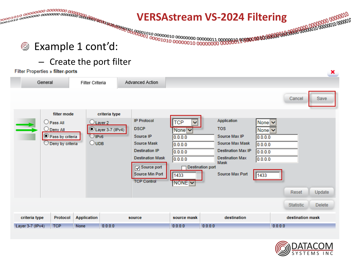# 

## © Example 1 cont'd:

### - Create the port filter

#### **Filter Properties » filter-ports**

|                  | General                                                                                                     | Filter Criteria                        |                                              | Advanced Action                                                                                                                                                           |                                                                                                         |                                                                                                                                                                                   |                                                                                          |                  |               |
|------------------|-------------------------------------------------------------------------------------------------------------|----------------------------------------|----------------------------------------------|---------------------------------------------------------------------------------------------------------------------------------------------------------------------------|---------------------------------------------------------------------------------------------------------|-----------------------------------------------------------------------------------------------------------------------------------------------------------------------------------|------------------------------------------------------------------------------------------|------------------|---------------|
|                  |                                                                                                             |                                        |                                              |                                                                                                                                                                           |                                                                                                         |                                                                                                                                                                                   |                                                                                          | Cancel           | Save          |
| ⋍                | filter mode<br>$\bigcup$ Pass All<br>$\bigcirc$ Deny All<br>Rass by criteria<br>$\bigcirc$ Deny by criteria | $O$ IPv <sub>6</sub><br>$\bigcirc$ UDB | criteria type<br>Layer 2<br>Layer 3-7 (IPv4) | <b>IP Protocol</b><br><b>DSCP</b><br>Source IP<br>Source Mask<br><b>Destination IP</b><br><b>Destination Mask</b><br>Source port<br>Source Min Port<br><b>TCP Control</b> | TCP<br>$\checkmark$<br>None $\vee$<br>0.0.0.0<br>0.0.0.0<br>0.0.0.0<br>0.0.0.0<br>1433<br>$NONE$ $\vee$ | Application<br><b>TOS</b><br>Source Max IP<br>Source Max Mask<br><b>Destination Max IP</b><br><b>Destination Max</b><br><b>Mask</b><br><b>Destination port</b><br>Source Max Port | None $\triangleright$<br>None $\vee$<br>0.0.0.0<br>0.0.0.0<br>0.0.0.0<br>0.0.0.0<br>1433 |                  |               |
|                  |                                                                                                             |                                        |                                              |                                                                                                                                                                           |                                                                                                         |                                                                                                                                                                                   |                                                                                          | Reset            | Update        |
|                  |                                                                                                             |                                        |                                              |                                                                                                                                                                           |                                                                                                         |                                                                                                                                                                                   |                                                                                          | <b>Statistic</b> | <b>Delete</b> |
| criteria type    | Protocol                                                                                                    | <b>Application</b>                     |                                              | source                                                                                                                                                                    | source mask                                                                                             | destination                                                                                                                                                                       |                                                                                          | destination mask |               |
| Layer 3-7 (IPv4) | <b>TCP</b>                                                                                                  | None                                   | 0.0.0.0                                      |                                                                                                                                                                           | 0.0.0.0                                                                                                 | 0.0.0.0                                                                                                                                                                           |                                                                                          | 0.0.0.0          |               |



×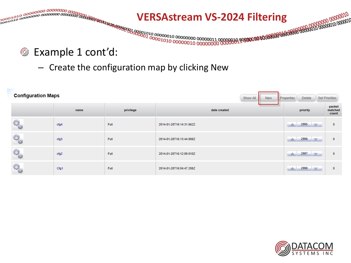

- Create the configuration map by clicking New

| <b>Configuration Maps</b> |      | Show All<br><b>New</b> | <b>Properties</b>        | <b>Delete</b> | <b>Set Priorities</b> |                                 |                            |
|---------------------------|------|------------------------|--------------------------|---------------|-----------------------|---------------------------------|----------------------------|
|                           | name | privilege              | date created             |               |                       | priority                        | packet<br>matched<br>count |
| 50                        | cfg4 | Full                   | 2014-01-28T16:14:31.662Z |               |                       | $\triangle$ 2995                | $\bf{0}$                   |
| R                         | cfg3 | Full                   | 2014-01-28T16:13:44.908Z |               |                       | 2996<br><b>IV</b>               | 0                          |
| 50                        | cfg2 | Full                   | 2014-01-28T16:12:09.010Z |               | ▲                     | 2997<br><b>IV</b>               | 0                          |
| <b>CA</b>                 | Cfg1 | Full                   | 2014-01-28T16:04:47.208Z |               |                       | 2998<br>$\overline{\mathbf{v}}$ | 0                          |

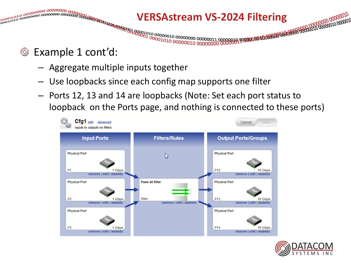

- Example 1 cont'd: ۷
	- Aggregate multiple inputs together
	- Use loopbacks since each config map supports one filter
	- Ports 12, 13 and 14 are loopbacks (Note: Set each port status to loopback on the Ports page, and nothing is connected to these ports)



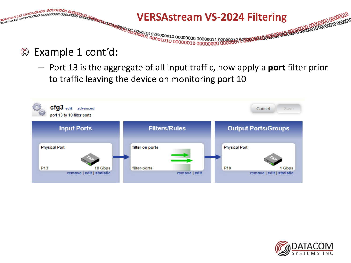

#### Example 1 cont'd: ⊚

– Port 13 is the aggregate of all input traffic, now apply a **port** filter prior to traffic leaving the device on monitoring port 10



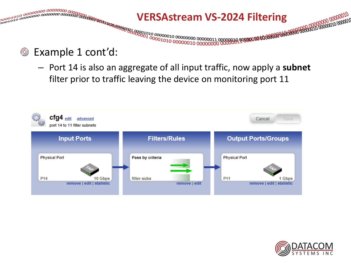

- Example 1 cont'd: ⊚
	- Port 14 is also an aggregate of all input traffic, now apply a **subnet** filter prior to traffic leaving the device on monitoring port 11



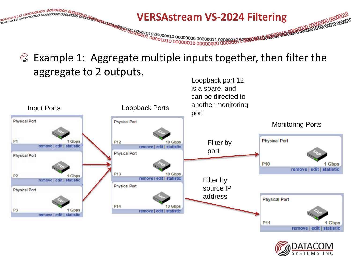

Example 1: Aggregate multiple inputs together, then filter the ⊚ aggregate to 2 outputs. Loopback port 12